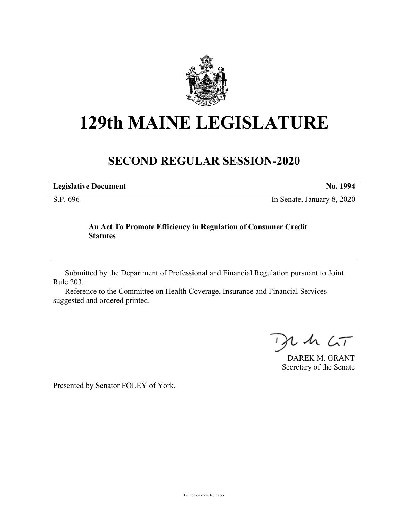

# **129th MAINE LEGISLATURE**

# **SECOND REGULAR SESSION-2020**

**Legislative Document No. 1994**

S.P. 696 In Senate, January 8, 2020

## **An Act To Promote Efficiency in Regulation of Consumer Credit Statutes**

Submitted by the Department of Professional and Financial Regulation pursuant to Joint Rule 203.

Reference to the Committee on Health Coverage, Insurance and Financial Services suggested and ordered printed.

 $24.67$ 

DAREK M. GRANT Secretary of the Senate

Presented by Senator FOLEY of York.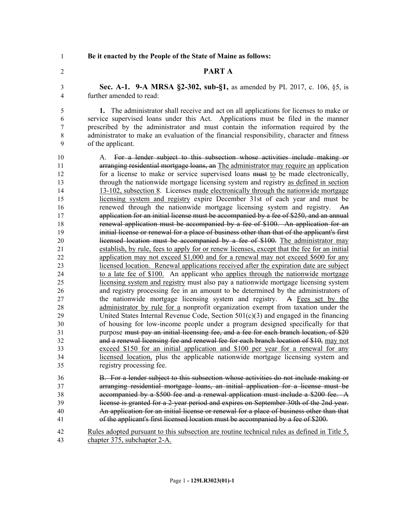**Be it enacted by the People of the State of Maine as follows:**

### **PART A**

 **Sec. A-1. 9-A MRSA §2-302, sub-§1,** as amended by PL 2017, c. 106, §5, is further amended to read:

 **1.** The administrator shall receive and act on all applications for licenses to make or service supervised loans under this Act. Applications must be filed in the manner prescribed by the administrator and must contain the information required by the administrator to make an evaluation of the financial responsibility, character and fitness of the applicant.

 A. For a lender subject to this subsection whose activities include making or **arranging residential mortgage loans, an The administrator may require an application** 12 for a license to make or service supervised loans must to be made electronically, through the nationwide mortgage licensing system and registry as defined in section 13-102, subsection 8. Licenses made electronically through the nationwide mortgage licensing system and registry expire December 31st of each year and must be renewed through the nationwide mortgage licensing system and registry. An application for an initial license must be accompanied by a fee of \$250, and an annual renewal application must be accompanied by a fee of \$100. An application for an initial license or renewal for a place of business other than that of the applicant's first 20 licensed location must be accompanied by a fee of \$100. The administrator may establish, by rule, fees to apply for or renew licenses, except that the fee for an initial application may not exceed \$1,000 and for a renewal may not exceed \$600 for any licensed location. Renewal applications received after the expiration date are subject to a late fee of \$100. An applicant who applies through the nationwide mortgage licensing system and registry must also pay a nationwide mortgage licensing system and registry processing fee in an amount to be determined by the administrators of 27 the nationwide mortgage licensing system and registry. A Fees set by the administrator by rule for a nonprofit organization exempt from taxation under the United States Internal Revenue Code, Section 501(c)(3) and engaged in the financing of housing for low-income people under a program designed specifically for that purpose must pay an initial licensing fee, and a fee for each branch location, of \$20 and a renewal licensing fee and renewal fee for each branch location of \$10, may not exceed \$150 for an initial application and \$100 per year for a renewal for any licensed location, plus the applicable nationwide mortgage licensing system and registry processing fee. B. For a lender subject to this subsection whose activities do not include making or

 arranging residential mortgage loans, an initial application for a license must be accompanied by a \$500 fee and a renewal application must include a \$200 fee. A license is granted for a 2-year period and expires on September 30th of the 2nd year. An application for an initial license or renewal for a place of business other than that of the applicant's first licensed location must be accompanied by a fee of \$200.

 Rules adopted pursuant to this subsection are routine technical rules as defined in Title 5, chapter 375, subchapter 2-A.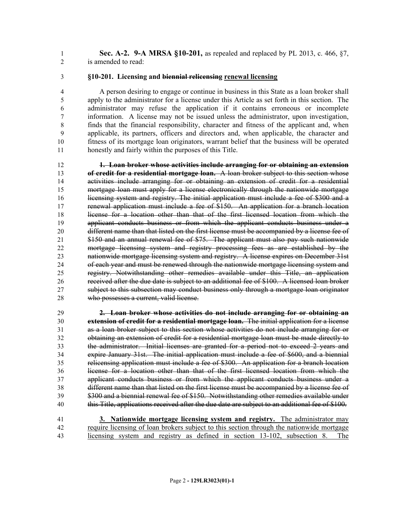- **Sec. A-2. 9-A MRSA §10-201,** as repealed and replaced by PL 2013, c. 466, §7, is amended to read:
- **§10-201. Licensing and biennial relicensing renewal licensing**

 A person desiring to engage or continue in business in this State as a loan broker shall apply to the administrator for a license under this Article as set forth in this section. The administrator may refuse the application if it contains erroneous or incomplete information. A license may not be issued unless the administrator, upon investigation, finds that the financial responsibility, character and fitness of the applicant and, when applicable, its partners, officers and directors and, when applicable, the character and fitness of its mortgage loan originators, warrant belief that the business will be operated honestly and fairly within the purposes of this Title.

 **1. Loan broker whose activities include arranging for or obtaining an extension of credit for a residential mortgage loan.** A loan broker subject to this section whose activities include arranging for or obtaining an extension of credit for a residential mortgage loan must apply for a license electronically through the nationwide mortgage licensing system and registry. The initial application must include a fee of \$300 and a renewal application must include a fee of \$150. An application for a branch location license for a location other than that of the first licensed location from which the applicant conducts business or from which the applicant conducts business under a different name than that listed on the first license must be accompanied by a license fee of \$150 and an annual renewal fee of \$75. The applicant must also pay such nationwide mortgage licensing system and registry processing fees as are established by the nationwide mortgage licensing system and registry. A license expires on December 31st of each year and must be renewed through the nationwide mortgage licensing system and registry. Notwithstanding other remedies available under this Title, an application received after the due date is subject to an additional fee of \$100. A licensed loan broker subject to this subsection may conduct business only through a mortgage loan originator 28 who possesses a current, valid license.

 **2. Loan broker whose activities do not include arranging for or obtaining an extension of credit for a residential mortgage loan.** The initial application for a license as a loan broker subject to this section whose activities do not include arranging for or obtaining an extension of credit for a residential mortgage loan must be made directly to the administrator. Initial licenses are granted for a period not to exceed 2 years and expire January 31st. The initial application must include a fee of \$600, and a biennial relicensing application must include a fee of \$300. An application for a branch location license for a location other than that of the first licensed location from which the applicant conducts business or from which the applicant conducts business under a different name than that listed on the first license must be accompanied by a license fee of \$300 and a biennial renewal fee of \$150. Notwithstanding other remedies available under 40 this Title, applications received after the due date are subject to an additional fee of \$100.

 **3. Nationwide mortgage licensing system and registry.** The administrator may require licensing of loan brokers subject to this section through the nationwide mortgage licensing system and registry as defined in section 13-102, subsection 8. The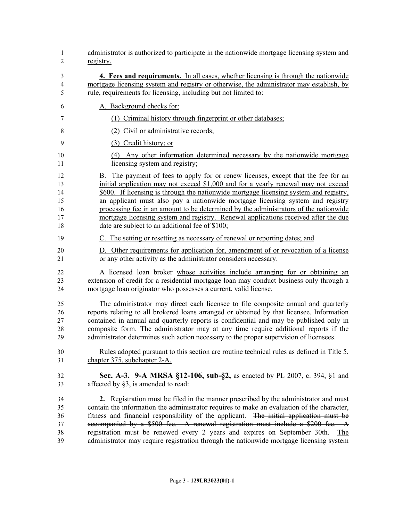| 1                                | administrator is authorized to participate in the nationwide mortgage licensing system and                                                                                                                                                                                                                                                                                                                                                                                                                                                    |
|----------------------------------|-----------------------------------------------------------------------------------------------------------------------------------------------------------------------------------------------------------------------------------------------------------------------------------------------------------------------------------------------------------------------------------------------------------------------------------------------------------------------------------------------------------------------------------------------|
| $\overline{c}$                   | registry.                                                                                                                                                                                                                                                                                                                                                                                                                                                                                                                                     |
| 3                                | 4. Fees and requirements. In all cases, whether licensing is through the nationwide                                                                                                                                                                                                                                                                                                                                                                                                                                                           |
| $\overline{4}$                   | mortgage licensing system and registry or otherwise, the administrator may establish, by                                                                                                                                                                                                                                                                                                                                                                                                                                                      |
| 5                                | rule, requirements for licensing, including but not limited to:                                                                                                                                                                                                                                                                                                                                                                                                                                                                               |
| 6                                | A. Background checks for:                                                                                                                                                                                                                                                                                                                                                                                                                                                                                                                     |
| 7                                | (1) Criminal history through fingerprint or other databases;                                                                                                                                                                                                                                                                                                                                                                                                                                                                                  |
| 8                                | (2) Civil or administrative records;                                                                                                                                                                                                                                                                                                                                                                                                                                                                                                          |
| 9                                | (3) Credit history; or                                                                                                                                                                                                                                                                                                                                                                                                                                                                                                                        |
| 10                               | (4) Any other information determined necessary by the nationwide mortgage                                                                                                                                                                                                                                                                                                                                                                                                                                                                     |
| 11                               | licensing system and registry;                                                                                                                                                                                                                                                                                                                                                                                                                                                                                                                |
| 12                               | B. The payment of fees to apply for or renew licenses, except that the fee for an                                                                                                                                                                                                                                                                                                                                                                                                                                                             |
| 13                               | initial application may not exceed \$1,000 and for a yearly renewal may not exceed                                                                                                                                                                                                                                                                                                                                                                                                                                                            |
| 14                               | \$600. If licensing is through the nationwide mortgage licensing system and registry,                                                                                                                                                                                                                                                                                                                                                                                                                                                         |
| 15                               | an applicant must also pay a nationwide mortgage licensing system and registry                                                                                                                                                                                                                                                                                                                                                                                                                                                                |
| 16                               | processing fee in an amount to be determined by the administrators of the nationwide                                                                                                                                                                                                                                                                                                                                                                                                                                                          |
| 17                               | mortgage licensing system and registry. Renewal applications received after the due                                                                                                                                                                                                                                                                                                                                                                                                                                                           |
| 18                               | date are subject to an additional fee of \$100;                                                                                                                                                                                                                                                                                                                                                                                                                                                                                               |
| 19                               | C. The setting or resetting as necessary of renewal or reporting dates; and                                                                                                                                                                                                                                                                                                                                                                                                                                                                   |
| 20                               | D. Other requirements for application for, amendment of or revocation of a license                                                                                                                                                                                                                                                                                                                                                                                                                                                            |
| 21                               | or any other activity as the administrator considers necessary.                                                                                                                                                                                                                                                                                                                                                                                                                                                                               |
| 22                               | A licensed loan broker whose activities include arranging for or obtaining an                                                                                                                                                                                                                                                                                                                                                                                                                                                                 |
| 23                               | extension of credit for a residential mortgage loan may conduct business only through a                                                                                                                                                                                                                                                                                                                                                                                                                                                       |
| 24                               | mortgage loan originator who possesses a current, valid license.                                                                                                                                                                                                                                                                                                                                                                                                                                                                              |
| 25                               | The administrator may direct each licensee to file composite annual and quarterly                                                                                                                                                                                                                                                                                                                                                                                                                                                             |
| 26                               | reports relating to all brokered loans arranged or obtained by that licensee. Information                                                                                                                                                                                                                                                                                                                                                                                                                                                     |
| 27                               | contained in annual and quarterly reports is confidential and may be published only in                                                                                                                                                                                                                                                                                                                                                                                                                                                        |
| 28                               | composite form. The administrator may at any time require additional reports if the                                                                                                                                                                                                                                                                                                                                                                                                                                                           |
| 29                               | administrator determines such action necessary to the proper supervision of licensees.                                                                                                                                                                                                                                                                                                                                                                                                                                                        |
| 30                               | Rules adopted pursuant to this section are routine technical rules as defined in Title 5,                                                                                                                                                                                                                                                                                                                                                                                                                                                     |
| 31                               | chapter 375, subchapter 2-A.                                                                                                                                                                                                                                                                                                                                                                                                                                                                                                                  |
| 32                               | Sec. A-3. 9-A MRSA §12-106, sub-§2, as enacted by PL 2007, c. 394, §1 and                                                                                                                                                                                                                                                                                                                                                                                                                                                                     |
| 33                               | affected by §3, is amended to read:                                                                                                                                                                                                                                                                                                                                                                                                                                                                                                           |
| 34<br>35<br>36<br>37<br>38<br>39 | 2. Registration must be filed in the manner prescribed by the administrator and must<br>contain the information the administrator requires to make an evaluation of the character,<br>fitness and financial responsibility of the applicant. The initial application must be<br>accompanied by a \$500 fee. A renewal registration must include a \$200 fee. A<br>registration must be renewed every 2 years and expires on September 30th.<br>The<br>administrator may require registration through the nationwide mortgage licensing system |
|                                  |                                                                                                                                                                                                                                                                                                                                                                                                                                                                                                                                               |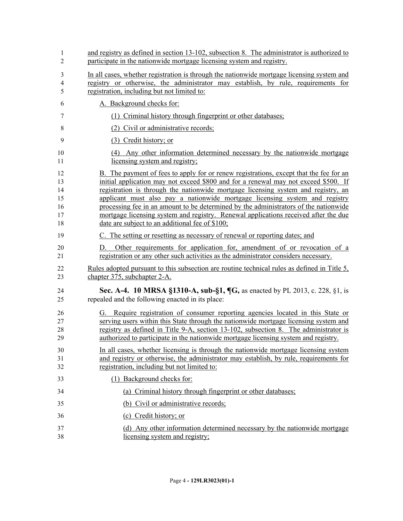| 1<br>$\overline{2}$                    | and registry as defined in section 13-102, subsection 8. The administrator is authorized to<br>participate in the nationwide mortgage licensing system and registry.                                                                                                                                                                                                                                                                                                                                                                                                                |
|----------------------------------------|-------------------------------------------------------------------------------------------------------------------------------------------------------------------------------------------------------------------------------------------------------------------------------------------------------------------------------------------------------------------------------------------------------------------------------------------------------------------------------------------------------------------------------------------------------------------------------------|
| 3<br>$\overline{4}$<br>5               | In all cases, whether registration is through the nationwide mortgage licensing system and<br>registry or otherwise, the administrator may establish, by rule, requirements for<br>registration, including but not limited to:                                                                                                                                                                                                                                                                                                                                                      |
| 6                                      | A. Background checks for:                                                                                                                                                                                                                                                                                                                                                                                                                                                                                                                                                           |
| $\tau$                                 | (1) Criminal history through fingerprint or other databases;                                                                                                                                                                                                                                                                                                                                                                                                                                                                                                                        |
| 8                                      | (2) Civil or administrative records;                                                                                                                                                                                                                                                                                                                                                                                                                                                                                                                                                |
| 9                                      | (3) Credit history; or                                                                                                                                                                                                                                                                                                                                                                                                                                                                                                                                                              |
| 10<br>11                               | (4) Any other information determined necessary by the nationwide mortgage<br>licensing system and registry;                                                                                                                                                                                                                                                                                                                                                                                                                                                                         |
| 12<br>13<br>14<br>15<br>16<br>17<br>18 | B. The payment of fees to apply for or renew registrations, except that the fee for an<br>initial application may not exceed \$800 and for a renewal may not exceed \$500. If<br>registration is through the nationwide mortgage licensing system and registry, an<br>applicant must also pay a nationwide mortgage licensing system and registry<br>processing fee in an amount to be determined by the administrators of the nationwide<br>mortgage licensing system and registry. Renewal applications received after the due<br>date are subject to an additional fee of \$100; |
| 19                                     | C. The setting or resetting as necessary of renewal or reporting dates; and                                                                                                                                                                                                                                                                                                                                                                                                                                                                                                         |
| 20<br>21                               | Other requirements for application for, amendment of or revocation of a<br>D.<br>registration or any other such activities as the administrator considers necessary.                                                                                                                                                                                                                                                                                                                                                                                                                |
| 22<br>23                               | Rules adopted pursuant to this subsection are routine technical rules as defined in Title 5,<br>chapter 375, subchapter 2-A.                                                                                                                                                                                                                                                                                                                                                                                                                                                        |
| 24<br>25                               | Sec. A-4. 10 MRSA §1310-A, sub-§1, ¶G, as enacted by PL 2013, c. 228, §1, is<br>repealed and the following enacted in its place:                                                                                                                                                                                                                                                                                                                                                                                                                                                    |
| 26<br>27<br>28<br>29                   | G. Require registration of consumer reporting agencies located in this State or<br>serving users within this State through the nationwide mortgage licensing system and<br>registry as defined in Title 9-A, section 13-102, subsection 8. The administrator is<br>authorized to participate in the nationwide mortgage licensing system and registry.                                                                                                                                                                                                                              |
| 30<br>31<br>32                         | In all cases, whether licensing is through the nationwide mortgage licensing system<br>and registry or otherwise, the administrator may establish, by rule, requirements for<br>registration, including but not limited to:                                                                                                                                                                                                                                                                                                                                                         |
| 33                                     | (1) Background checks for:                                                                                                                                                                                                                                                                                                                                                                                                                                                                                                                                                          |
| 34                                     | (a) Criminal history through fingerprint or other databases;                                                                                                                                                                                                                                                                                                                                                                                                                                                                                                                        |
| 35                                     | (b) Civil or administrative records;                                                                                                                                                                                                                                                                                                                                                                                                                                                                                                                                                |
| 36                                     | (c) Credit history; or                                                                                                                                                                                                                                                                                                                                                                                                                                                                                                                                                              |
| 37<br>38                               | (d) Any other information determined necessary by the nationwide mortgage<br>licensing system and registry;                                                                                                                                                                                                                                                                                                                                                                                                                                                                         |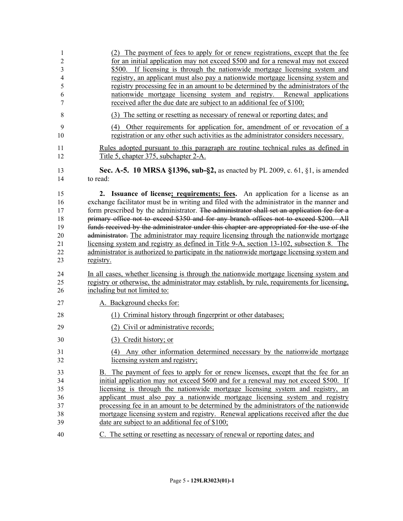| 1              | (2) The payment of fees to apply for or renew registrations, except that the fee                                                                                    |
|----------------|---------------------------------------------------------------------------------------------------------------------------------------------------------------------|
| 2              | for an initial application may not exceed \$500 and for a renewal may not exceed                                                                                    |
| 3              | \$500. If licensing is through the nationwide mortgage licensing system and                                                                                         |
| $\overline{4}$ | registry, an applicant must also pay a nationwide mortgage licensing system and                                                                                     |
| 5              | registry processing fee in an amount to be determined by the administrators of the                                                                                  |
| 6              | nationwide mortgage licensing system and registry. Renewal applications                                                                                             |
| 7              | received after the due date are subject to an additional fee of \$100;                                                                                              |
| 8              | (3) The setting or resetting as necessary of renewal or reporting dates; and                                                                                        |
| 9              | (4) Other requirements for application for, amendment of or revocation of a                                                                                         |
| 10             | registration or any other such activities as the administrator considers necessary.                                                                                 |
| 11             | <u>Rules adopted pursuant to this paragraph are routine technical rules as defined in</u>                                                                           |
| 12             | Title 5, chapter 375, subchapter 2-A.                                                                                                                               |
| 13             | <b>Sec. A-5. 10 MRSA §1396, sub-§2,</b> as enacted by PL 2009, c. 61, §1, is amended                                                                                |
| 14             | to read:                                                                                                                                                            |
| 15             | 2. Issuance of license <u>; requirements; fees</u> . An application for a license as an                                                                             |
| 16             | exchange facilitator must be in writing and filed with the administrator in the manner and                                                                          |
| 17             | form prescribed by the administrator. The administrator shall set an application fee for a                                                                          |
| 18             | primary office not to exceed \$350 and for any branch offices not to exceed \$200. All                                                                              |
| 19             | funds received by the administrator under this chapter are appropriated for the use of the                                                                          |
| 20             | administrator. The administrator may require licensing through the nationwide mortgage                                                                              |
| 21             | licensing system and registry as defined in Title 9-A, section 13-102, subsection 8. The                                                                            |
| 22             | administrator is authorized to participate in the nationwide mortgage licensing system and                                                                          |
| 23             | registry.                                                                                                                                                           |
| 24             | In all cases, whether licensing is through the nationwide mortgage licensing system and                                                                             |
| 25             | registry or otherwise, the administrator may establish, by rule, requirements for licensing,                                                                        |
| 26             | including but not limited to:                                                                                                                                       |
| 27             | A. Background checks for:                                                                                                                                           |
| 28             | (1) Criminal history through fingerprint or other databases;                                                                                                        |
| 29             | (2) Civil or administrative records;                                                                                                                                |
| 30             | (3) Credit history; or                                                                                                                                              |
| 31             | (4) Any other information determined necessary by the nationwide mortgage                                                                                           |
| 32             | licensing system and registry;                                                                                                                                      |
| 33             | B. The payment of fees to apply for or renew licenses, except that the fee for an                                                                                   |
| 34             | initial application may not exceed \$600 and for a renewal may not exceed \$500. If                                                                                 |
| 35             | licensing is through the nationwide mortgage licensing system and registry, an                                                                                      |
| 36             | applicant must also pay a nationwide mortgage licensing system and registry<br>processing fee in an amount to be determined by the administrators of the nationwide |
| 37<br>38       | mortgage licensing system and registry. Renewal applications received after the due                                                                                 |
| 39             | date are subject to an additional fee of \$100;                                                                                                                     |
| 40             | C. The setting or resetting as necessary of renewal or reporting dates; and                                                                                         |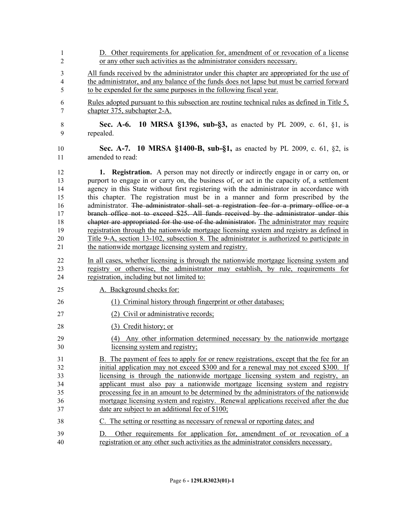| 1                        | D. Other requirements for application for, amendment of or revocation of a license                                                                                   |
|--------------------------|----------------------------------------------------------------------------------------------------------------------------------------------------------------------|
| 2                        | or any other such activities as the administrator considers necessary.                                                                                               |
| 3                        | All funds received by the administrator under this chapter are appropriated for the use of                                                                           |
| $\overline{\mathcal{A}}$ | the administrator, and any balance of the funds does not lapse but must be carried forward                                                                           |
| 5                        | to be expended for the same purposes in the following fiscal year.                                                                                                   |
| 6                        | Rules adopted pursuant to this subsection are routine technical rules as defined in Title 5,                                                                         |
| 7                        | chapter 375, subchapter 2-A.                                                                                                                                         |
| $\,$ 8 $\,$              | <b>Sec. A-6. 10 MRSA §1396, sub-§3, as enacted by PL 2009, c. 61, §1, is</b>                                                                                         |
| 9                        | repealed.                                                                                                                                                            |
| 10                       | <b>Sec. A-7. 10 MRSA §1400-B, sub-§1,</b> as enacted by PL 2009, c. 61, §2, is                                                                                       |
| 11                       | amended to read:                                                                                                                                                     |
| 12                       | 1. Registration. A person may not directly or indirectly engage in or carry on, or                                                                                   |
| 13                       | purport to engage in or carry on, the business of, or act in the capacity of, a settlement                                                                           |
| 14                       | agency in this State without first registering with the administrator in accordance with                                                                             |
| 15                       | this chapter. The registration must be in a manner and form prescribed by the                                                                                        |
| 16                       | administrator. The administrator shall set a registration fee for a primary office or a                                                                              |
| 17                       | branch office not to exceed \$25. All funds received by the administrator under this                                                                                 |
| 18                       | chapter are appropriated for the use of the administrator. The administrator may require                                                                             |
| 19                       | registration through the nationwide mortgage licensing system and registry as defined in                                                                             |
| 20                       | Title 9-A, section 13-102, subsection 8. The administrator is authorized to participate in                                                                           |
| 21                       | the nationwide mortgage licensing system and registry.                                                                                                               |
| 22                       | In all cases, whether licensing is through the nationwide mortgage licensing system and                                                                              |
| 23                       | registry or otherwise, the administrator may establish, by rule, requirements for                                                                                    |
| 24                       | registration, including but not limited to:                                                                                                                          |
| 25                       | A. Background checks for:                                                                                                                                            |
| 26                       | (1) Criminal history through fingerprint or other databases;                                                                                                         |
| 27                       | (2) Civil or administrative records;                                                                                                                                 |
| 28                       | (3) Credit history; or                                                                                                                                               |
| 29                       | (4) Any other information determined necessary by the nationwide mortgage                                                                                            |
| 30                       | licensing system and registry;                                                                                                                                       |
| 31                       | B. The payment of fees to apply for or renew registrations, except that the fee for an                                                                               |
| 32                       | initial application may not exceed \$300 and for a renewal may not exceed \$300. If                                                                                  |
| 33                       | licensing is through the nationwide mortgage licensing system and registry, an                                                                                       |
| 34                       | applicant must also pay a nationwide mortgage licensing system and registry                                                                                          |
| 35                       | processing fee in an amount to be determined by the administrators of the nationwide                                                                                 |
| 36                       | mortgage licensing system and registry. Renewal applications received after the due                                                                                  |
| 37                       | date are subject to an additional fee of \$100;                                                                                                                      |
| 38                       | C. The setting or resetting as necessary of renewal or reporting dates; and                                                                                          |
| 39<br>40                 | Other requirements for application for, amendment of or revocation of a<br>D.<br>registration or any other such activities as the administrator considers necessary. |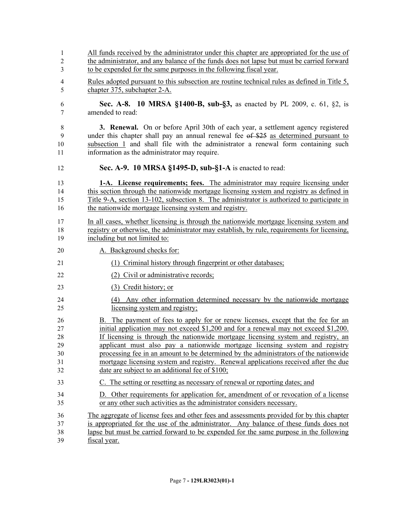| 1              | All funds received by the administrator under this chapter are appropriated for the use of   |
|----------------|----------------------------------------------------------------------------------------------|
| $\overline{2}$ | the administrator, and any balance of the funds does not lapse but must be carried forward   |
| 3              | to be expended for the same purposes in the following fiscal year.                           |
| 4              | Rules adopted pursuant to this subsection are routine technical rules as defined in Title 5, |
| 5              | chapter 375, subchapter 2-A.                                                                 |
| 6              | Sec. A-8. 10 MRSA §1400-B, sub-§3, as enacted by PL 2009, c. 61, §2, is                      |
| $\tau$         | amended to read:                                                                             |
| 8              | <b>3. Renewal.</b> On or before April 30th of each year, a settlement agency registered      |
| 9              | under this chapter shall pay an annual renewal fee of \$25 as determined pursuant to         |
| 10             | subsection 1 and shall file with the administrator a renewal form containing such            |
| 11             | information as the administrator may require.                                                |
| 12             | Sec. A-9. 10 MRSA §1495-D, sub-§1-A is enacted to read:                                      |
| 13             | 1-A. License requirements; fees. The administrator may require licensing under               |
| 14             | this section through the nationwide mortgage licensing system and registry as defined in     |
| 15             | Title 9-A, section 13-102, subsection 8. The administrator is authorized to participate in   |
| 16             | the nationwide mortgage licensing system and registry.                                       |
| 17             | In all cases, whether licensing is through the nationwide mortgage licensing system and      |
| 18             | registry or otherwise, the administrator may establish, by rule, requirements for licensing, |
| 19             | including but not limited to:                                                                |
| 20             | A. Background checks for:                                                                    |
| 21             | (1) Criminal history through fingerprint or other databases;                                 |
| 22             | (2) Civil or administrative records;                                                         |
| 23             | (3) Credit history; or                                                                       |
| 24             | (4) Any other information determined necessary by the nationwide mortgage                    |
| 25             | licensing system and registry;                                                               |
| 26             | B. The payment of fees to apply for or renew licenses, except that the fee for an            |
| 27             | initial application may not exceed $$1,200$ and for a renewal may not exceed $$1,200$ .      |
| 28             | If licensing is through the nationwide mortgage licensing system and registry, an            |
| 29             | applicant must also pay a nationwide mortgage licensing system and registry                  |
| 30             | processing fee in an amount to be determined by the administrators of the nationwide         |
| 31             | mortgage licensing system and registry. Renewal applications received after the due          |
| 32             | date are subject to an additional fee of \$100;                                              |
| 33             | C. The setting or resetting as necessary of renewal or reporting dates; and                  |
| 34             | D. Other requirements for application for, amendment of or revocation of a license           |
| 35             | or any other such activities as the administrator considers necessary.                       |
| 36             | The aggregate of license fees and other fees and assessments provided for by this chapter    |
| 37             | is appropriated for the use of the administrator. Any balance of these funds does not        |
| 38             | lapse but must be carried forward to be expended for the same purpose in the following       |
| 39             | fiscal year.                                                                                 |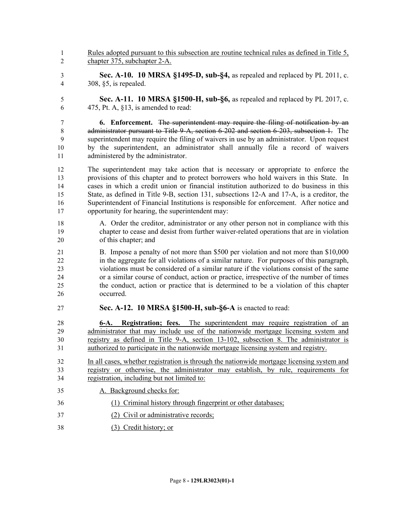- Rules adopted pursuant to this subsection are routine technical rules as defined in Title 5, chapter 375, subchapter 2-A.
- **Sec. A-10. 10 MRSA §1495-D, sub-§4,** as repealed and replaced by PL 2011, c. 308, §5, is repealed.
- **Sec. A-11. 10 MRSA §1500-H, sub-§6,** as repealed and replaced by PL 2017, c. 6 475, Pt. A,  $\S$ 13, is amended to read:

 **6. Enforcement.** The superintendent may require the filing of notification by an administrator pursuant to Title 9-A, section 6-202 and section 6-203, subsection 1. The superintendent may require the filing of waivers in use by an administrator. Upon request by the superintendent, an administrator shall annually file a record of waivers 11 administered by the administrator.

 The superintendent may take action that is necessary or appropriate to enforce the provisions of this chapter and to protect borrowers who hold waivers in this State. In cases in which a credit union or financial institution authorized to do business in this State, as defined in Title 9-B, section 131, subsections 12-A and 17-A, is a creditor, the Superintendent of Financial Institutions is responsible for enforcement. After notice and opportunity for hearing, the superintendent may:

 A. Order the creditor, administrator or any other person not in compliance with this chapter to cease and desist from further waiver-related operations that are in violation of this chapter; and

 B. Impose a penalty of not more than \$500 per violation and not more than \$10,000 in the aggregate for all violations of a similar nature. For purposes of this paragraph, violations must be considered of a similar nature if the violations consist of the same or a similar course of conduct, action or practice, irrespective of the number of times the conduct, action or practice that is determined to be a violation of this chapter occurred.

**Sec. A-12. 10 MRSA §1500-H, sub-§6-A** is enacted to read:

 **6-A. Registration; fees.** The superintendent may require registration of an administrator that may include use of the nationwide mortgage licensing system and registry as defined in Title 9-A, section 13-102, subsection 8. The administrator is authorized to participate in the nationwide mortgage licensing system and registry.

- In all cases, whether registration is through the nationwide mortgage licensing system and registry or otherwise, the administrator may establish, by rule, requirements for registration, including but not limited to:
- A. Background checks for:
- (1) Criminal history through fingerprint or other databases;
- (2) Civil or administrative records;
- (3) Credit history; or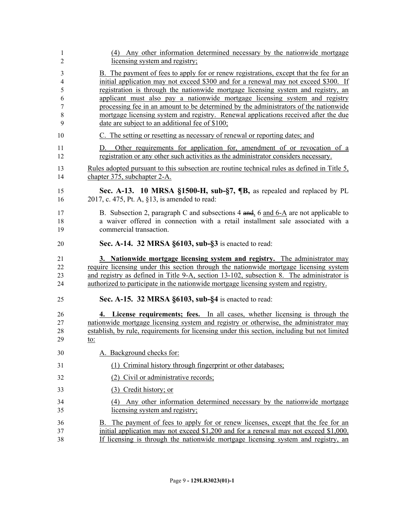| 1           | (4) Any other information determined necessary by the nationwide mortgage                                                                                            |
|-------------|----------------------------------------------------------------------------------------------------------------------------------------------------------------------|
| 2           | licensing system and registry;                                                                                                                                       |
| 3           | B. The payment of fees to apply for or renew registrations, except that the fee for an                                                                               |
| 4           | initial application may not exceed \$300 and for a renewal may not exceed \$300. If                                                                                  |
| 5           | registration is through the nationwide mortgage licensing system and registry, an                                                                                    |
| 6           | applicant must also pay a nationwide mortgage licensing system and registry                                                                                          |
| $\tau$      | processing fee in an amount to be determined by the administrators of the nationwide                                                                                 |
| $\,$ 8 $\,$ | mortgage licensing system and registry. Renewal applications received after the due                                                                                  |
| 9           | date are subject to an additional fee of \$100;                                                                                                                      |
| 10          | C. The setting or resetting as necessary of renewal or reporting dates; and                                                                                          |
| 11<br>12    | Other requirements for application for, amendment of or revocation of a<br>D.<br>registration or any other such activities as the administrator considers necessary. |
| 13          | Rules adopted pursuant to this subsection are routine technical rules as defined in Title 5,                                                                         |
| 14          | chapter 375, subchapter 2-A.                                                                                                                                         |
| 15          | Sec. A-13. 10 MRSA §1500-H, sub-§7, ¶B, as repealed and replaced by PL                                                                                               |
| 16          | 2017, c. 475, Pt. A, §13, is amended to read:                                                                                                                        |
| 17          | B. Subsection 2, paragraph C and subsections 4 and, 6 and 6-A are not applicable to                                                                                  |
| 18          | a waiver offered in connection with a retail installment sale associated with a                                                                                      |
| 19          | commercial transaction.                                                                                                                                              |
| 20          | Sec. A-14. 32 MRSA §6103, sub-§3 is enacted to read:                                                                                                                 |
| 21          | 3. Nationwide mortgage licensing system and registry. The administrator may                                                                                          |
| 22          | require licensing under this section through the nationwide mortgage licensing system                                                                                |
| 23          | and registry as defined in Title 9-A, section 13-102, subsection 8. The administrator is                                                                             |
| 24          | authorized to participate in the nationwide mortgage licensing system and registry.                                                                                  |
| 25          | Sec. A-15. 32 MRSA §6103, sub-§4 is enacted to read:                                                                                                                 |
| 26          | 4. License requirements; fees. In all cases, whether licensing is through the                                                                                        |
| 27          | nationwide mortgage licensing system and registry or otherwise, the administrator may                                                                                |
| 28          | establish, by rule, requirements for licensing under this section, including but not limited                                                                         |
| 29          | to:                                                                                                                                                                  |
| 30          | A. Background checks for:                                                                                                                                            |
| 31          | (1) Criminal history through fingerprint or other databases;                                                                                                         |
| 32          | (2) Civil or administrative records;                                                                                                                                 |
| 33          | (3) Credit history; or                                                                                                                                               |
| 34          | (4) Any other information determined necessary by the nationwide mortgage                                                                                            |
| 35          | licensing system and registry;                                                                                                                                       |
| 36          | B. The payment of fees to apply for or renew licenses, except that the fee for an                                                                                    |
| 37          | initial application may not exceed $$1,200$ and for a renewal may not exceed $$1,000$ .                                                                              |
| 38          | If licensing is through the nationwide mortgage licensing system and registry, an                                                                                    |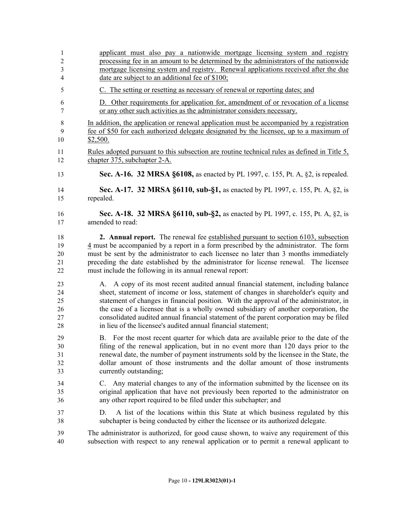| $\mathbf{1}$   | applicant must also pay a nationwide mortgage licensing system and registry                                                                                             |
|----------------|-------------------------------------------------------------------------------------------------------------------------------------------------------------------------|
| $\sqrt{2}$     | processing fee in an amount to be determined by the administrators of the nationwide                                                                                    |
| 3              | mortgage licensing system and registry. Renewal applications received after the due                                                                                     |
| $\overline{4}$ | date are subject to an additional fee of \$100;                                                                                                                         |
| 5              | C. The setting or resetting as necessary of renewal or reporting dates; and                                                                                             |
| 6              | D. Other requirements for application for, amendment of or revocation of a license                                                                                      |
| 7              | or any other such activities as the administrator considers necessary.                                                                                                  |
| 8              | In addition, the application or renewal application must be accompanied by a registration                                                                               |
| 9              | fee of \$50 for each authorized delegate designated by the licensee, up to a maximum of                                                                                 |
| 10             | \$2,500.                                                                                                                                                                |
| 11             | <u>Rules adopted pursuant to this subsection are routine technical rules as defined in Title 5,</u>                                                                     |
| 12             | chapter 375, subchapter 2-A.                                                                                                                                            |
| 13             | <b>Sec. A-16. 32 MRSA §6108, as enacted by PL 1997, c. 155, Pt. A, §2, is repealed.</b>                                                                                 |
| 14             | Sec. A-17. 32 MRSA §6110, sub-§1, as enacted by PL 1997, c. 155, Pt. A, §2, is                                                                                          |
| 15             | repealed.                                                                                                                                                               |
| 16             | Sec. A-18. 32 MRSA §6110, sub-§2, as enacted by PL 1997, c. 155, Pt. A, §2, is                                                                                          |
| 17             | amended to read:                                                                                                                                                        |
| 18             | 2. Annual report. The renewal fee established pursuant to section 6103, subsection                                                                                      |
| 19             | 4 must be accompanied by a report in a form prescribed by the administrator. The form                                                                                   |
| 20             | must be sent by the administrator to each licensee no later than 3 months immediately                                                                                   |
| 21             | preceding the date established by the administrator for license renewal. The licensee                                                                                   |
| 22             | must include the following in its annual renewal report:                                                                                                                |
| 23             | A. A copy of its most recent audited annual financial statement, including balance                                                                                      |
| 24             | sheet, statement of income or loss, statement of changes in shareholder's equity and                                                                                    |
| 25             | statement of changes in financial position. With the approval of the administrator, in                                                                                  |
| 26             | the case of a licensee that is a wholly owned subsidiary of another corporation, the                                                                                    |
| 27             | consolidated audited annual financial statement of the parent corporation may be filed                                                                                  |
| 28             | in lieu of the licensee's audited annual financial statement;                                                                                                           |
| 29             | B. For the most recent quarter for which data are available prior to the date of the                                                                                    |
| 30             | filing of the renewal application, but in no event more than 120 days prior to the                                                                                      |
| 31             | renewal date, the number of payment instruments sold by the licensee in the State, the                                                                                  |
| 32             | dollar amount of those instruments and the dollar amount of those instruments                                                                                           |
| 33             | currently outstanding;                                                                                                                                                  |
| 34             | C. Any material changes to any of the information submitted by the licensee on its                                                                                      |
| 35             | original application that have not previously been reported to the administrator on                                                                                     |
| 36             | any other report required to be filed under this subchapter; and                                                                                                        |
| 37<br>38       | A list of the locations within this State at which business regulated by this<br>D.<br>subchapter is being conducted by either the licensee or its authorized delegate. |
| 39             | The administrator is authorized, for good cause shown, to waive any requirement of this                                                                                 |
| 40             | subsection with respect to any renewal application or to permit a renewal applicant to                                                                                  |
|                |                                                                                                                                                                         |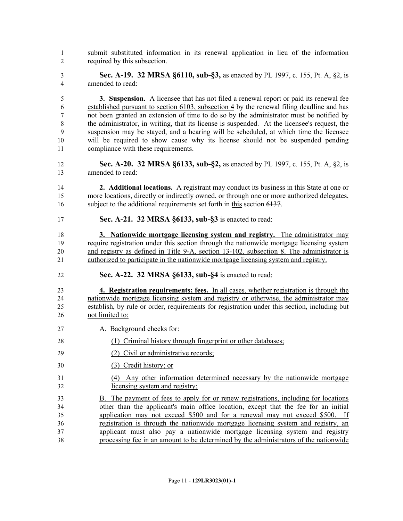- submit substituted information in its renewal application in lieu of the information required by this subsection.
- **Sec. A-19. 32 MRSA §6110, sub-§3,** as enacted by PL 1997, c. 155, Pt. A, §2, is amended to read:

 **3. Suspension.** A licensee that has not filed a renewal report or paid its renewal fee established pursuant to section 6103, subsection 4 by the renewal filing deadline and has not been granted an extension of time to do so by the administrator must be notified by the administrator, in writing, that its license is suspended. At the licensee's request, the suspension may be stayed, and a hearing will be scheduled, at which time the licensee will be required to show cause why its license should not be suspended pending compliance with these requirements.

 **Sec. A-20. 32 MRSA §6133, sub-§2,** as enacted by PL 1997, c. 155, Pt. A, §2, is amended to read:

 **2. Additional locations.** A registrant may conduct its business in this State at one or more locations, directly or indirectly owned, or through one or more authorized delegates, 16 subject to the additional requirements set forth in this section 6137.

**Sec. A-21. 32 MRSA §6133, sub-§3** is enacted to read:

 **3. Nationwide mortgage licensing system and registry.** The administrator may require registration under this section through the nationwide mortgage licensing system and registry as defined in Title 9-A, section 13-102, subsection 8. The administrator is authorized to participate in the nationwide mortgage licensing system and registry.

**Sec. A-22. 32 MRSA §6133, sub-§4** is enacted to read:

 **4. Registration requirements; fees.** In all cases, whether registration is through the nationwide mortgage licensing system and registry or otherwise, the administrator may establish, by rule or order, requirements for registration under this section, including but not limited to:

- A. Background checks for:
- (1) Criminal history through fingerprint or other databases;
- 29 (2) Civil or administrative records;
- (3) Credit history; or
- (4) Any other information determined necessary by the nationwide mortgage licensing system and registry;
- B. The payment of fees to apply for or renew registrations, including for locations other than the applicant's main office location, except that the fee for an initial application may not exceed \$500 and for a renewal may not exceed \$500. If registration is through the nationwide mortgage licensing system and registry, an applicant must also pay a nationwide mortgage licensing system and registry processing fee in an amount to be determined by the administrators of the nationwide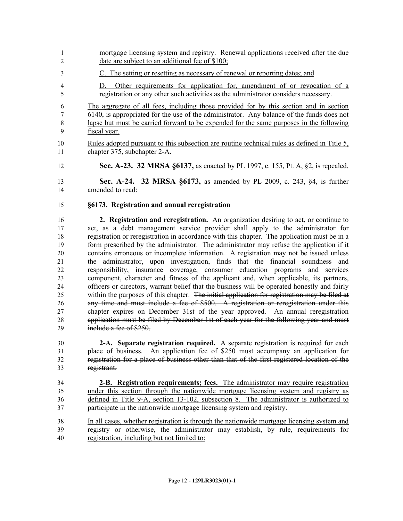- mortgage licensing system and registry. Renewal applications received after the due 2 date are subject to an additional fee of \$100;
- C. The setting or resetting as necessary of renewal or reporting dates; and
- D. Other requirements for application for, amendment of or revocation of a registration or any other such activities as the administrator considers necessary.

 The aggregate of all fees, including those provided for by this section and in section 6140, is appropriated for the use of the administrator. Any balance of the funds does not lapse but must be carried forward to be expended for the same purposes in the following fiscal year.

- Rules adopted pursuant to this subsection are routine technical rules as defined in Title 5, chapter 375, subchapter 2-A.
- **Sec. A-23. 32 MRSA §6137,** as enacted by PL 1997, c. 155, Pt. A, §2, is repealed.

 **Sec. A-24. 32 MRSA §6173,** as amended by PL 2009, c. 243, §4, is further amended to read:

**§6173. Registration and annual reregistration**

 **2. Registration and reregistration.** An organization desiring to act, or continue to act, as a debt management service provider shall apply to the administrator for registration or reregistration in accordance with this chapter. The application must be in a form prescribed by the administrator. The administrator may refuse the application if it contains erroneous or incomplete information. A registration may not be issued unless the administrator, upon investigation, finds that the financial soundness and responsibility, insurance coverage, consumer education programs and services component, character and fitness of the applicant and, when applicable, its partners, officers or directors, warrant belief that the business will be operated honestly and fairly 25 within the purposes of this chapter. The initial application for registration may be filed at any time and must include a fee of \$500. A registration or reregistration under this chapter expires on December 31st of the year approved. An annual reregistration application must be filed by December 1st of each year for the following year and must 29 include a fee of \$250.

 **2-A. Separate registration required.** A separate registration is required for each place of business. An application fee of \$250 must accompany an application for registration for a place of business other than that of the first registered location of the registrant.

- **2-B. Registration requirements; fees.** The administrator may require registration under this section through the nationwide mortgage licensing system and registry as defined in Title 9-A, section 13-102, subsection 8. The administrator is authorized to participate in the nationwide mortgage licensing system and registry.
- In all cases, whether registration is through the nationwide mortgage licensing system and registry or otherwise, the administrator may establish, by rule, requirements for registration, including but not limited to: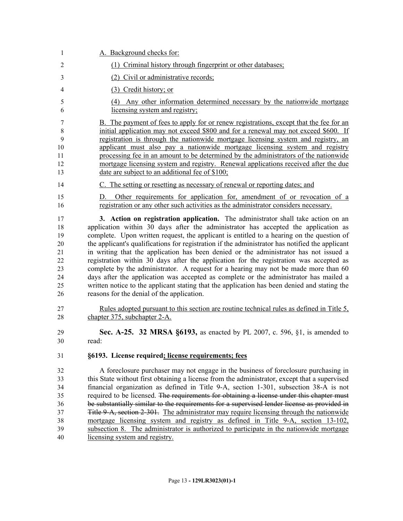| 1                                                        | A. Background checks for:                                                                                                                                                                                                                                                                                                                                                                                                                                                                                                                                                                                                                                                                                                                                                                                                                                                               |
|----------------------------------------------------------|-----------------------------------------------------------------------------------------------------------------------------------------------------------------------------------------------------------------------------------------------------------------------------------------------------------------------------------------------------------------------------------------------------------------------------------------------------------------------------------------------------------------------------------------------------------------------------------------------------------------------------------------------------------------------------------------------------------------------------------------------------------------------------------------------------------------------------------------------------------------------------------------|
| $\overline{2}$                                           | (1) Criminal history through fingerprint or other databases;                                                                                                                                                                                                                                                                                                                                                                                                                                                                                                                                                                                                                                                                                                                                                                                                                            |
| 3                                                        | (2) Civil or administrative records;                                                                                                                                                                                                                                                                                                                                                                                                                                                                                                                                                                                                                                                                                                                                                                                                                                                    |
| 4                                                        | (3) Credit history; or                                                                                                                                                                                                                                                                                                                                                                                                                                                                                                                                                                                                                                                                                                                                                                                                                                                                  |
| 5<br>6                                                   | (4) Any other information determined necessary by the nationwide mortgage<br>licensing system and registry;                                                                                                                                                                                                                                                                                                                                                                                                                                                                                                                                                                                                                                                                                                                                                                             |
| 7<br>8<br>9<br>10<br>11<br>12<br>13                      | B. The payment of fees to apply for or renew registrations, except that the fee for an<br>initial application may not exceed \$800 and for a renewal may not exceed \$600. If<br>registration is through the nationwide mortgage licensing system and registry, an<br>applicant must also pay a nationwide mortgage licensing system and registry<br>processing fee in an amount to be determined by the administrators of the nationwide<br>mortgage licensing system and registry. Renewal applications received after the due<br>date are subject to an additional fee of \$100;                                                                                                                                                                                                                                                                                                     |
| 14                                                       | C. The setting or resetting as necessary of renewal or reporting dates; and                                                                                                                                                                                                                                                                                                                                                                                                                                                                                                                                                                                                                                                                                                                                                                                                             |
| 15<br>16                                                 | Other requirements for application for, amendment of or revocation of a<br>D.<br>registration or any other such activities as the administrator considers necessary.                                                                                                                                                                                                                                                                                                                                                                                                                                                                                                                                                                                                                                                                                                                    |
| 17<br>18<br>19<br>20<br>21<br>22<br>23<br>24<br>25<br>26 | 3. Action on registration application. The administrator shall take action on an<br>application within 30 days after the administrator has accepted the application as<br>complete. Upon written request, the applicant is entitled to a hearing on the question of<br>the applicant's qualifications for registration if the administrator has notified the applicant<br>in writing that the application has been denied or the administrator has not issued a<br>registration within 30 days after the application for the registration was accepted as<br>complete by the administrator. A request for a hearing may not be made more than 60<br>days after the application was accepted as complete or the administrator has mailed a<br>written notice to the applicant stating that the application has been denied and stating the<br>reasons for the denial of the application. |
| 27<br>28                                                 | Rules adopted pursuant to this section are routine technical rules as defined in Title 5,<br>chapter 375, subchapter 2-A.                                                                                                                                                                                                                                                                                                                                                                                                                                                                                                                                                                                                                                                                                                                                                               |
| 29<br>30                                                 | Sec. A-25. 32 MRSA §6193, as enacted by PL 2007, c. 596, §1, is amended to<br>read:                                                                                                                                                                                                                                                                                                                                                                                                                                                                                                                                                                                                                                                                                                                                                                                                     |
| 31                                                       | §6193. License required; license requirements; fees                                                                                                                                                                                                                                                                                                                                                                                                                                                                                                                                                                                                                                                                                                                                                                                                                                     |
| 32<br>33<br>34<br>35<br>36<br>37<br>38<br>39<br>40       | A foreclosure purchaser may not engage in the business of foreclosure purchasing in<br>this State without first obtaining a license from the administrator, except that a supervised<br>financial organization as defined in Title 9-A, section 1-301, subsection 38-A is not<br>required to be licensed. The requirements for obtaining a license under this chapter must<br>be substantially similar to the requirements for a supervised lender license as provided in<br>Title 9-A, section 2-301. The administrator may require licensing through the nationwide<br>mortgage licensing system and registry as defined in Title 9-A, section 13-102,<br>subsection 8. The administrator is authorized to participate in the nationwide mortgage<br>licensing system and registry.                                                                                                   |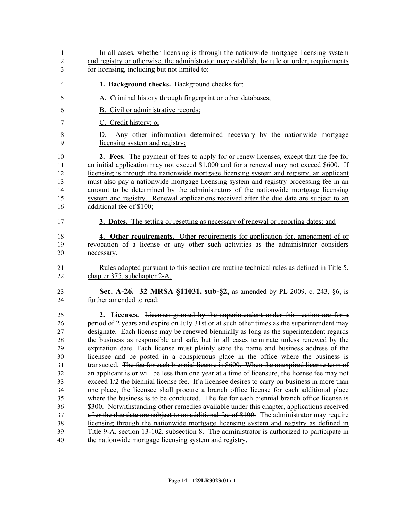| $\mathbf{1}$<br>$\overline{2}$         | In all cases, whether licensing is through the nationwide mortgage licensing system<br>and registry or otherwise, the administrator may establish, by rule or order, requirements                                                                                                                                                                                                                                                                                                                                                                                                                                                                            |
|----------------------------------------|--------------------------------------------------------------------------------------------------------------------------------------------------------------------------------------------------------------------------------------------------------------------------------------------------------------------------------------------------------------------------------------------------------------------------------------------------------------------------------------------------------------------------------------------------------------------------------------------------------------------------------------------------------------|
| 3                                      | for licensing, including but not limited to:                                                                                                                                                                                                                                                                                                                                                                                                                                                                                                                                                                                                                 |
| 4                                      | 1. Background checks. Background checks for:                                                                                                                                                                                                                                                                                                                                                                                                                                                                                                                                                                                                                 |
| 5                                      | A. Criminal history through fingerprint or other databases;                                                                                                                                                                                                                                                                                                                                                                                                                                                                                                                                                                                                  |
| 6                                      | B. Civil or administrative records;                                                                                                                                                                                                                                                                                                                                                                                                                                                                                                                                                                                                                          |
| 7                                      | C. Credit history; or                                                                                                                                                                                                                                                                                                                                                                                                                                                                                                                                                                                                                                        |
| 8<br>9                                 | Any other information determined necessary by the nationwide mortgage<br>D.<br>licensing system and registry;                                                                                                                                                                                                                                                                                                                                                                                                                                                                                                                                                |
| 10<br>11<br>12<br>13<br>14<br>15<br>16 | 2. Fees. The payment of fees to apply for or renew licenses, except that the fee for<br>an initial application may not exceed \$1,000 and for a renewal may not exceed \$600. If<br>licensing is through the nationwide mortgage licensing system and registry, an applicant<br>must also pay a nationwide mortgage licensing system and registry processing fee in an<br>amount to be determined by the administrators of the nationwide mortgage licensing<br>system and registry. Renewal applications received after the due date are subject to an<br>additional fee of \$100;                                                                          |
| 17                                     | 3. Dates. The setting or resetting as necessary of renewal or reporting dates; and                                                                                                                                                                                                                                                                                                                                                                                                                                                                                                                                                                           |
| 18<br>19<br>20<br>21<br>22             | 4. Other requirements. Other requirements for application for, amendment of or<br>revocation of a license or any other such activities as the administrator considers<br>necessary.<br>Rules adopted pursuant to this section are routine technical rules as defined in Title 5,<br>chapter 375, subchapter 2-A.                                                                                                                                                                                                                                                                                                                                             |
| 23<br>24                               | Sec. A-26. 32 MRSA §11031, sub-§2, as amended by PL 2009, c. 243, §6, is<br>further amended to read:                                                                                                                                                                                                                                                                                                                                                                                                                                                                                                                                                         |
| 25                                     | 2. Licenses. Licenses granted by the superintendent under this section are for a                                                                                                                                                                                                                                                                                                                                                                                                                                                                                                                                                                             |
| 26<br>27<br>28<br>29<br>30<br>31<br>32 | period of 2 years and expire on July 31st or at such other times as the superintendent may<br>designate. Each license may be renewed biennially as long as the superintendent regards<br>the business as responsible and safe, but in all cases terminate unless renewed by the<br>expiration date. Each license must plainly state the name and business address of the<br>licensee and be posted in a conspicuous place in the office where the business is<br>transacted. The fee for each biennial license is \$600. When the unexpired license term of<br>an applicant is or will be less than one year at a time of licensure, the license fee may not |
| 33                                     | exceed 1/2 the biennial license fee. If a licensee desires to carry on business in more than                                                                                                                                                                                                                                                                                                                                                                                                                                                                                                                                                                 |
| 34                                     | one place, the licensee shall procure a branch office license for each additional place<br>where the business is to be conducted. The fee for each biennial branch office license is                                                                                                                                                                                                                                                                                                                                                                                                                                                                         |
| 35<br>36                               | \$300. Notwithstanding other remedies available under this chapter, applications received                                                                                                                                                                                                                                                                                                                                                                                                                                                                                                                                                                    |
| 37                                     | after the due date are subject to an additional fee of \$100. The administrator may require                                                                                                                                                                                                                                                                                                                                                                                                                                                                                                                                                                  |
| 38                                     | licensing through the nationwide mortgage licensing system and registry as defined in                                                                                                                                                                                                                                                                                                                                                                                                                                                                                                                                                                        |
| 39<br>40                               | <u>Title 9-A, section 13-102, subsection 8. The administrator is authorized to participate in</u><br>the nationwide mortgage licensing system and registry.                                                                                                                                                                                                                                                                                                                                                                                                                                                                                                  |
|                                        |                                                                                                                                                                                                                                                                                                                                                                                                                                                                                                                                                                                                                                                              |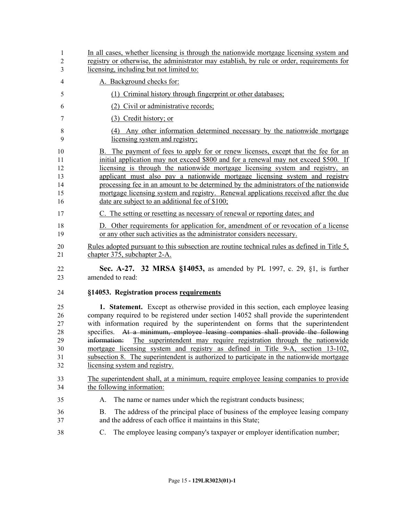| $\mathbf{1}$<br>$\overline{2}$<br>3          | In all cases, whether licensing is through the nationwide mortgage licensing system and<br>registry or otherwise, the administrator may establish, by rule or order, requirements for<br>licensing, including but not limited to:                                                                                                                                                                                                                                                                                                                                                                                                                                   |
|----------------------------------------------|---------------------------------------------------------------------------------------------------------------------------------------------------------------------------------------------------------------------------------------------------------------------------------------------------------------------------------------------------------------------------------------------------------------------------------------------------------------------------------------------------------------------------------------------------------------------------------------------------------------------------------------------------------------------|
| $\overline{4}$                               | A. Background checks for:                                                                                                                                                                                                                                                                                                                                                                                                                                                                                                                                                                                                                                           |
| 5                                            | (1) Criminal history through fingerprint or other databases;                                                                                                                                                                                                                                                                                                                                                                                                                                                                                                                                                                                                        |
| 6                                            | (2) Civil or administrative records;                                                                                                                                                                                                                                                                                                                                                                                                                                                                                                                                                                                                                                |
| 7                                            | (3) Credit history; or                                                                                                                                                                                                                                                                                                                                                                                                                                                                                                                                                                                                                                              |
| 8<br>9                                       | (4) Any other information determined necessary by the nationwide mortgage<br>licensing system and registry;                                                                                                                                                                                                                                                                                                                                                                                                                                                                                                                                                         |
| 10<br>11<br>12<br>13<br>14<br>15<br>16       | B. The payment of fees to apply for or renew licenses, except that the fee for an<br>initial application may not exceed \$800 and for a renewal may not exceed \$500. If<br>licensing is through the nationwide mortgage licensing system and registry, an<br>applicant must also pay a nationwide mortgage licensing system and registry<br>processing fee in an amount to be determined by the administrators of the nationwide<br>mortgage licensing system and registry. Renewal applications received after the due<br>date are subject to an additional fee of \$100;                                                                                         |
| 17                                           | C. The setting or resetting as necessary of renewal or reporting dates; and                                                                                                                                                                                                                                                                                                                                                                                                                                                                                                                                                                                         |
| 18<br>19                                     | D. Other requirements for application for, amendment of or revocation of a license<br>or any other such activities as the administrator considers necessary.                                                                                                                                                                                                                                                                                                                                                                                                                                                                                                        |
| 20<br>21                                     | Rules adopted pursuant to this subsection are routine technical rules as defined in Title 5,<br>chapter 375, subchapter 2-A.                                                                                                                                                                                                                                                                                                                                                                                                                                                                                                                                        |
| 22<br>23                                     | <b>Sec. A-27. 32 MRSA §14053, as amended by PL 1997, c. 29, §1, is further</b><br>amended to read:                                                                                                                                                                                                                                                                                                                                                                                                                                                                                                                                                                  |
| 24                                           | §14053. Registration process requirements                                                                                                                                                                                                                                                                                                                                                                                                                                                                                                                                                                                                                           |
| 25<br>26<br>27<br>28<br>29<br>30<br>31<br>32 | <b>1. Statement.</b> Except as otherwise provided in this section, each employee leasing<br>company required to be registered under section 14052 shall provide the superintendent<br>with information required by the superintendent on forms that the superintendent<br>At a minimum, employee leasing companies shall provide the following<br>specifies.<br>The superintendent may require registration through the nationwide<br>information:<br>mortgage licensing system and registry as defined in Title 9-A, section 13-102,<br>subsection 8. The superintendent is authorized to participate in the nationwide mortgage<br>licensing system and registry. |
| 33<br>34                                     | The superintendent shall, at a minimum, require employee leasing companies to provide<br>the following information:                                                                                                                                                                                                                                                                                                                                                                                                                                                                                                                                                 |
| 35                                           | The name or names under which the registrant conducts business;<br>А.                                                                                                                                                                                                                                                                                                                                                                                                                                                                                                                                                                                               |
| 36<br>37                                     | The address of the principal place of business of the employee leasing company<br>Β.<br>and the address of each office it maintains in this State;                                                                                                                                                                                                                                                                                                                                                                                                                                                                                                                  |
| 38                                           | The employee leasing company's taxpayer or employer identification number;<br>C.                                                                                                                                                                                                                                                                                                                                                                                                                                                                                                                                                                                    |
|                                              |                                                                                                                                                                                                                                                                                                                                                                                                                                                                                                                                                                                                                                                                     |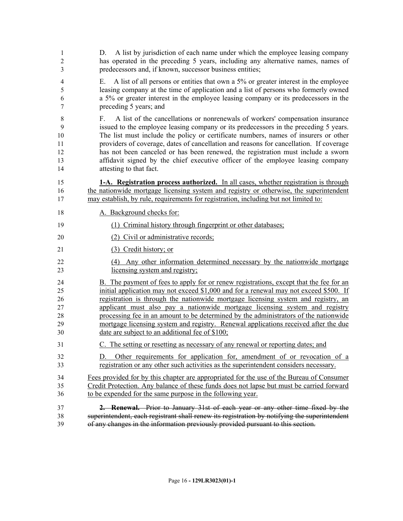| 1<br>$\mathfrak{2}$<br>3                 | A list by jurisdiction of each name under which the employee leasing company<br>D.<br>has operated in the preceding 5 years, including any alternative names, names of<br>predecessors and, if known, successor business entities;                                                                                                                                                                                                                                                                                                                                                    |
|------------------------------------------|---------------------------------------------------------------------------------------------------------------------------------------------------------------------------------------------------------------------------------------------------------------------------------------------------------------------------------------------------------------------------------------------------------------------------------------------------------------------------------------------------------------------------------------------------------------------------------------|
| 4<br>5<br>6<br>7                         | A list of all persons or entities that own a 5% or greater interest in the employee<br>Е.<br>leasing company at the time of application and a list of persons who formerly owned<br>a 5% or greater interest in the employee leasing company or its predecessors in the<br>preceding 5 years; and                                                                                                                                                                                                                                                                                     |
| $8\,$<br>9<br>10<br>11<br>12<br>13<br>14 | A list of the cancellations or nonrenewals of workers' compensation insurance<br>$F_{\perp}$<br>issued to the employee leasing company or its predecessors in the preceding 5 years.<br>The list must include the policy or certificate numbers, names of insurers or other<br>providers of coverage, dates of cancellation and reasons for cancellation. If coverage<br>has not been canceled or has been renewed, the registration must include a sworn<br>affidavit signed by the chief executive officer of the employee leasing company<br>attesting to that fact.               |
| 15<br>16<br>17                           | 1-A. Registration process authorized. In all cases, whether registration is through<br>the nationwide mortgage licensing system and registry or otherwise, the superintendent<br>may establish, by rule, requirements for registration, including but not limited to:                                                                                                                                                                                                                                                                                                                 |
| 18                                       | A. Background checks for:                                                                                                                                                                                                                                                                                                                                                                                                                                                                                                                                                             |
| 19                                       | (1) Criminal history through fingerprint or other databases;                                                                                                                                                                                                                                                                                                                                                                                                                                                                                                                          |
| 20                                       | (2) Civil or administrative records;                                                                                                                                                                                                                                                                                                                                                                                                                                                                                                                                                  |
| 21                                       | (3) Credit history; or                                                                                                                                                                                                                                                                                                                                                                                                                                                                                                                                                                |
| 22<br>23                                 | (4) Any other information determined necessary by the nationwide mortgage<br>licensing system and registry;                                                                                                                                                                                                                                                                                                                                                                                                                                                                           |
| 24<br>25<br>26<br>27<br>28<br>29<br>30   | B. The payment of fees to apply for or renew registrations, except that the fee for an<br>initial application may not exceed \$1,000 and for a renewal may not exceed \$500. If<br>registration is through the nationwide mortgage licensing system and registry, an<br>applicant must also pay a nationwide mortgage licensing system and registry<br>processing fee in an amount to be determined by the administrators of the nationwide<br>mortgage licensing system and registry. Renewal applications received after the due<br>date are subject to an additional fee of \$100; |
| 31                                       | C. The setting or resetting as necessary of any renewal or reporting dates; and                                                                                                                                                                                                                                                                                                                                                                                                                                                                                                       |
| 32<br>33                                 | Other requirements for application for, amendment of or revocation of a<br>D.<br>registration or any other such activities as the superintendent considers necessary.                                                                                                                                                                                                                                                                                                                                                                                                                 |
| 34<br>35<br>36                           | Fees provided for by this chapter are appropriated for the use of the Bureau of Consumer<br>Credit Protection. Any balance of these funds does not lapse but must be carried forward<br>to be expended for the same purpose in the following year.                                                                                                                                                                                                                                                                                                                                    |
| 37<br>38<br>39                           | <b>2. Renewal.</b> Prior to January 31st of each year or any other time fixed by the<br>superintendent, each registrant shall renew its registration by notifying the superintendent<br>of any changes in the information previously provided pursuant to this section.                                                                                                                                                                                                                                                                                                               |